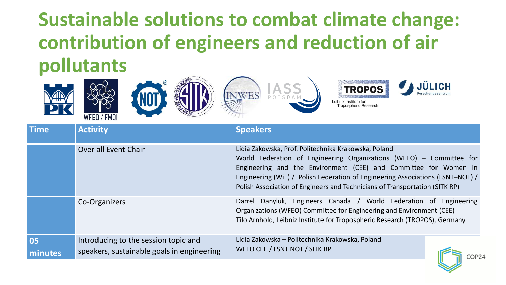## **Sustainable solutions to combat climate change: contribution of engineers and reduction of air pollutants**











| <b>Time</b>   | <b>Activity</b>                                                                    | <b>Speakers</b>                                                                                                                                                                                                                                                                                                                                                   |
|---------------|------------------------------------------------------------------------------------|-------------------------------------------------------------------------------------------------------------------------------------------------------------------------------------------------------------------------------------------------------------------------------------------------------------------------------------------------------------------|
|               | Over all Event Chair                                                               | Lidia Zakowska, Prof. Politechnika Krakowska, Poland<br>World Federation of Engineering Organizations (WFEO) - Committee for<br>Engineering and the Environment (CEE) and Committee for Women in<br>Engineering (WiE) / Polish Federation of Engineering Associations (FSNT-NOT) /<br>Polish Association of Engineers and Technicians of Transportation (SITK RP) |
|               | Co-Organizers                                                                      | Danyluk, Engineers Canada / World Federation of Engineering<br>Darrel<br>Organizations (WFEO) Committee for Engineering and Environment (CEE)<br>Tilo Arnhold, Leibniz Institute for Tropospheric Research (TROPOS), Germany                                                                                                                                      |
| 05<br>minutes | Introducing to the session topic and<br>speakers, sustainable goals in engineering | Lidia Zakowska – Politechnika Krakowska, Poland<br>WFEO CEE / FSNT NOT / SITK RP                                                                                                                                                                                                                                                                                  |